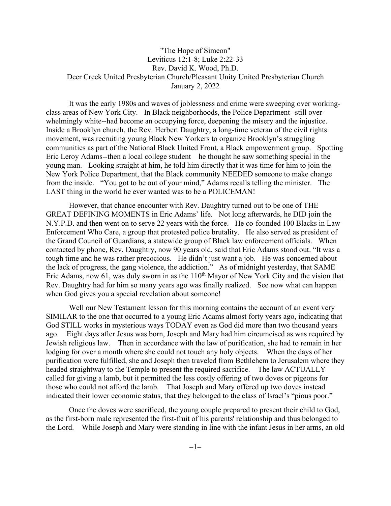## "The Hope of Simeon" Leviticus 12:1-8; Luke 2:22-33 Rev. David K. Wood, Ph.D. Deer Creek United Presbyterian Church/Pleasant Unity United Presbyterian Church January 2, 2022

It was the early 1980s and waves of joblessness and crime were sweeping over workingclass areas of New York City. In Black neighborhoods, the Police Department--still [over](https://www.ojp.gov/pdffiles1/Digitization/121490NCJRS.pdf)[whelmingly](https://www.ojp.gov/pdffiles1/Digitization/121490NCJRS.pdf) white--had become an occupying force, deepening the misery and the injustice. Inside a Brooklyn church, the Rev. Herbert Daughtry, a long-time [veteran](https://amsterdamnews.com/news/2015/01/29/rev-herbert-daughtry-celebrated-sage/) of the civil rights movement, was recruiting young Black New Yorkers to organize Brooklyn's struggling communities as part of the [National](https://africanactivist.msu.edu/organization.php?name=National+Black+United+Front) Black United Front, a Black empowerment group. Spotting Eric Leroy Adams--then a local college student—he thought he saw something special in the young man. Looking straight at him, he told him directly that it was time for him to join the New York Police Department, that the Black community NEEDED someone to make change from the inside. "You got to be out of your mind," Adams recalls telling the minister. The LAST thing in the world he ever wanted was to be a POLICEMAN!

However, that chance encounter with Rev. Daughtry turned out to be one of THE GREAT DEFINING MOMENTS in Eric Adams' life. Not long afterwards, he DID join the N.Y.P.D. and then went on to serve 22 years with the force. He co-founded 100 Blacks in Law Enforcement Who Care, a group that protested police brutality. He also served as president of the Grand Council of Guardians, a statewide group of Black law enforcement officials. When contacted by phone, Rev. Daughtry, now 90 years old, said that Eric Adams stood out. "It was a tough time and he was rather precocious. He didn't just want a job. He was concerned about the lack of progress, the gang violence, the addiction." As of midnight yesterday, that SAME Eric Adams, now 61, was duly sworn in as the  $110<sup>th</sup>$  Mayor of New York City and the vision that Rev. Daughtry had for him so many years ago was finally realized. See now what can happen when God gives you a special revelation about someone!

Well our New Testament lesson for this morning contains the account of an event very SIMILAR to the one that occurred to a young Eric Adams almost forty years ago, indicating that God STILL works in mysterious ways TODAY even as God did more than two thousand years ago. Eight days after Jesus was born, Joseph and Mary had him circumcised as was required by Jewish religious law. Then in accordance with the law of purification, she had to remain in her lodging for over a month where she could not touch any holy objects. When the days of her purification were fulfilled, she and Joseph then traveled from Bethlehem to Jerusalem where they headed straightway to the Temple to present the required sacrifice. The law ACTUALLY called for giving a lamb, but it permitted the less costly offering of two doves or pigeons for those who could not afford the lamb. That Joseph and Mary offered up two doves instead indicated their lower economic status, that they belonged to the class of Israel's "pious poor."

Once the doves were sacrificed, the young couple prepared to present their child to God, as the first-born male represented the first-fruit of his parents' relationship and thus belonged to the Lord. While Joseph and Mary were standing in line with the infant Jesus in her arms, an old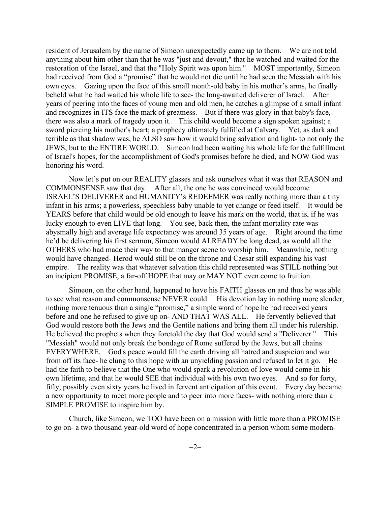resident of Jerusalem by the name of Simeon unexpectedly came up to them. We are not told anything about him other than that he was "just and devout," that he watched and waited for the restoration of the Israel, and that the "Holy Spirit was upon him." MOST importantly, Simeon had received from God a "promise" that he would not die until he had seen the Messiah with his own eyes. Gazing upon the face of this small month-old baby in his mother's arms, he finally beheld what he had waited his whole life to see- the long-awaited deliverer of Israel. After years of peering into the faces of young men and old men, he catches a glimpse of a small infant and recognizes in ITS face the mark of greatness. But if there was glory in that baby's face, there was also a mark of tragedy upon it. This child would become a sign spoken against; a sword piercing his mother's heart; a prophecy ultimately fulfilled at Calvary. Yet, as dark and terrible as that shadow was, he ALSO saw how it would bring salvation and light- to not only the JEWS, but to the ENTIRE WORLD. Simeon had been waiting his whole life for the fulfillment of Israel's hopes, for the accomplishment of God's promises before he died, and NOW God was honoring his word.

Now let's put on our REALITY glasses and ask ourselves what it was that REASON and COMMONSENSE saw that day. After all, the one he was convinced would become ISRAEL'S DELIVERER and HUMANITY's REDEEMER was really nothing more than a tiny infant in his arms; a powerless, speechless baby unable to yet change or feed itself. It would be YEARS before that child would be old enough to leave his mark on the world, that is, if he was lucky enough to even LIVE that long. You see, back then, the infant mortality rate was abysmally high and average life expectancy was around 35 years of age. Right around the time he'd be delivering his first sermon, Simeon would ALREADY be long dead, as would all the OTHERS who had made their way to that manger scene to worship him. Meanwhile, nothing would have changed- Herod would still be on the throne and Caesar still expanding his vast empire. The reality was that whatever salvation this child represented was STILL nothing but an incipient PROMISE, a far-off HOPE that may or MAY NOT even come to fruition.

Simeon, on the other hand, happened to have his FAITH glasses on and thus he was able to see what reason and commonsense NEVER could. His devotion lay in nothing more slender, nothing more tenuous than a single "promise," a simple word of hope he had received years before and one he refused to give up on- AND THAT WAS ALL. He fervently believed that God would restore both the Jews and the Gentile nations and bring them all under his rulership. He believed the prophets when they foretold the day that God would send a "Deliverer." This "Messiah" would not only break the bondage of Rome suffered by the Jews, but all chains EVERYWHERE. God's peace would fill the earth driving all hatred and suspicion and war from off its face- he clung to this hope with an unyielding passion and refused to let it go. He had the faith to believe that the One who would spark a revolution of love would come in his own lifetime, and that he would SEE that individual with his own two eyes. And so for forty, fifty, possibly even sixty years he lived in fervent anticipation of this event. Every day became a new opportunity to meet more people and to peer into more faces- with nothing more than a SIMPLE PROMISE to inspire him by.

Church, like Simeon, we TOO have been on a mission with little more than a PROMISE to go on- a two thousand year-old word of hope concentrated in a person whom some modern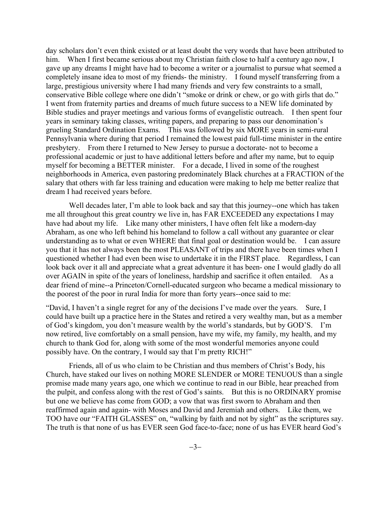day scholars don't even think existed or at least doubt the very words that have been attributed to him. When I first became serious about my Christian faith close to half a century ago now, I gave up any dreams I might have had to become a writer or a journalist to pursue what seemed a completely insane idea to most of my friends- the ministry. I found myself transferring from a large, prestigious university where I had many friends and very few constraints to a small, conservative Bible college where one didn't "smoke or drink or chew, or go with girls that do." I went from fraternity parties and dreams of much future success to a NEW life dominated by Bible studies and prayer meetings and various forms of evangelistic outreach. I then spent four years in seminary taking classes, writing papers, and preparing to pass our denomination's grueling Standard Ordination Exams. This was followed by six MORE years in semi-rural Pennsylvania where during that period I remained the lowest paid full-time minister in the entire presbytery. From there I returned to New Jersey to pursue a doctorate- not to become a professional academic or just to have additional letters before and after my name, but to equip myself for becoming a BETTER minister. For a decade, I lived in some of the roughest neighborhoods in America, even pastoring predominately Black churches at a FRACTION of the salary that others with far less training and education were making to help me better realize that dream I had received years before.

Well decades later, I'm able to look back and say that this journey--one which has taken me all throughout this great country we live in, has FAR EXCEEDED any expectations I may have had about my life. Like many other ministers, I have often felt like a modern-day Abraham, as one who left behind his homeland to follow a call without any guarantee or clear understanding as to what or even WHERE that final goal or destination would be. I can assure you that it has not always been the most PLEASANT of trips and there have been times when I questioned whether I had even been wise to undertake it in the FIRST place. Regardless, I can look back over it all and appreciate what a great adventure it has been- one I would gladly do all over AGAIN in spite of the years of loneliness, hardship and sacrifice it often entailed. As a dear friend of mine--a Princeton/Cornell-educated surgeon who became a medical missionary to the poorest of the poor in rural India for more than forty years--once said to me:

"David, I haven't a single regret for any of the decisions I've made over the years. Sure, I could have built up a practice here in the States and retired a very wealthy man, but as a member of God's kingdom, you don't measure wealth by the world's standards, but by GOD'S. I'm now retired, live comfortably on a small pension, have my wife, my family, my health, and my church to thank God for, along with some of the most wonderful memories anyone could possibly have. On the contrary, I would say that I'm pretty RICH!"

Friends, all of us who claim to be Christian and thus members of Christ's Body, his Church, have staked our lives on nothing MORE SLENDER or MORE TENUOUS than a single promise made many years ago, one which we continue to read in our Bible, hear preached from the pulpit, and confess along with the rest of God's saints. But this is no ORDINARY promise but one we believe has come from GOD; a vow that was first sworn to Abraham and then reaffirmed again and again- with Moses and David and Jeremiah and others. Like them, we TOO have our "FAITH GLASSES" on, "walking by faith and not by sight" as the scriptures say. The truth is that none of us has EVER seen God face-to-face; none of us has EVER heard God's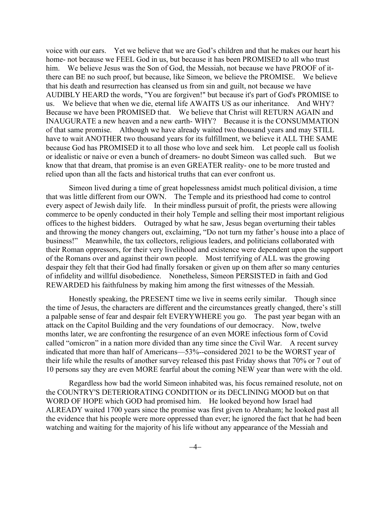voice with our ears. Yet we believe that we are God's children and that he makes our heart his home- not because we FEEL God in us, but because it has been PROMISED to all who trust him. We believe Jesus was the Son of God, the Messiah, not because we have PROOF of itthere can BE no such proof, but because, like Simeon, we believe the PROMISE. We believe that his death and resurrection has cleansed us from sin and guilt, not because we have AUDIBLY HEARD the words, "You are forgiven!" but because it's part of God's PROMISE to us. We believe that when we die, eternal life AWAITS US as our inheritance. And WHY? Because we have been PROMISED that. We believe that Christ will RETURN AGAIN and INAUGURATE a new heaven and a new earth- WHY? Because it is the CONSUMMATION of that same promise. Although we have already waited two thousand years and may STILL have to wait ANOTHER two thousand years for its fulfillment, we believe it ALL THE SAME because God has PROMISED it to all those who love and seek him. Let people call us foolish or idealistic or naive or even a bunch of dreamers- no doubt Simeon was called such. But we know that that dream, that promise is an even GREATER reality- one to be more trusted and relied upon than all the facts and historical truths that can ever confront us.

Simeon lived during a time of great hopelessness amidst much political division, a time that was little different from our OWN. The Temple and its priesthood had come to control every aspect of Jewish daily life. In their mindless pursuit of profit, the priests were allowing commerce to be openly conducted in their holy Temple and selling their most important religious offices to the highest bidders. Outraged by what he saw, Jesus began overturning their tables and throwing the money changers out, exclaiming, "Do not turn my father's house into a place of business!" Meanwhile, the tax collectors, religious leaders, and politicians collaborated with their Roman oppressors, for their very livelihood and existence were dependent upon the support of the Romans over and against their own people. Most terrifying of ALL was the growing despair they felt that their God had finally forsaken or given up on them after so many centuries of infidelity and willful disobedience. Nonetheless, Simeon PERSISTED in faith and God REWARDED his faithfulness by making him among the first witnesses of the Messiah.

Honestly speaking, the PRESENT time we live in seems eerily similar. Though since the time of Jesus, the characters are different and the circumstances greatly changed, there's still a palpable sense of fear and despair felt EVERYWHERE you go. The past year began with an attack on the Capitol Building and the very foundations of our democracy. Now, twelve months later, we are confronting the resurgence of an even MORE infectious form of Covid called "omicron" in a nation more divided than any time since the Civil War. A recent survey indicated that more than half of Americans—53%--considered 2021 to be the WORST year of their life while the results of another survey released this past Friday shows that 70% or 7 out of 10 persons say they are even MORE fearful about the coming NEW year than were with the old.

Regardless how bad the world Simeon inhabited was, his focus remained resolute, not on the COUNTRY'S DETERIORATING CONDITION or its DECLINING MOOD but on that WORD OF HOPE which GOD had promised him. He looked beyond how Israel had ALREADY waited 1700 years since the promise was first given to Abraham; he looked past all the evidence that his people were more oppressed than ever; he ignored the fact that he had been watching and waiting for the majority of his life without any appearance of the Messiah and